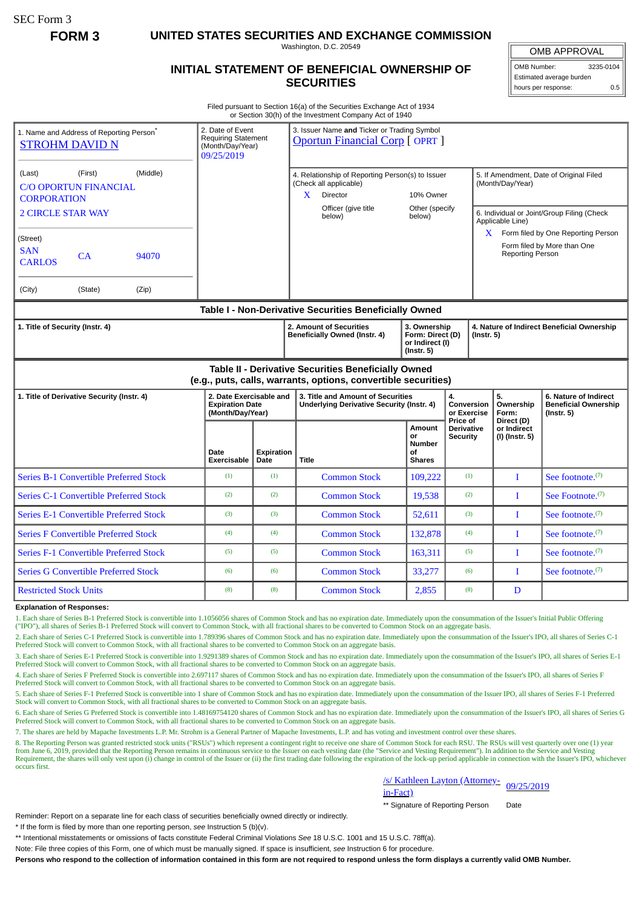SEC Form 3

**FORM 3 UNITED STATES SECURITIES AND EXCHANGE COMMISSION**

Washington, D.C. 20549

## **INITIAL STATEMENT OF BENEFICIAL OWNERSHIP OF SECURITIES**

OMB APPROVAL OMB Number: 3235-0104

Estimated average burden hours per response: 0.5

Filed pursuant to Section 16(a) of the Securities Exchange Act of 1934 or Section 30(h) of the Investment Company Act of 1940

| 1. Name and Address of Reporting Person <sup>®</sup><br><b>STROHM DAVID N</b>                                         | 2. Date of Event<br><b>Requiring Statement</b><br>(Month/Day/Year)<br>09/25/2019 |                           | 3. Issuer Name and Ticker or Trading Symbol<br><b>Oportun Financial Corp [OPRT]</b>                                                     |                                                                                             |                                                  |                                             |                                                                                       |
|-----------------------------------------------------------------------------------------------------------------------|----------------------------------------------------------------------------------|---------------------------|-----------------------------------------------------------------------------------------------------------------------------------------|---------------------------------------------------------------------------------------------|--------------------------------------------------|---------------------------------------------|---------------------------------------------------------------------------------------|
| (Middle)<br>(First)<br>(Last)<br><b>C/O OPORTUN FINANCIAL</b><br><b>CORPORATION</b><br><b>2 CIRCLE STAR WAY</b>       |                                                                                  |                           | 4. Relationship of Reporting Person(s) to Issuer<br>(Check all applicable)<br>Director<br>$\mathbf{X}$<br>Officer (give title<br>below) | 10% Owner<br>Other (specify<br>below)                                                       |                                                  | (Month/Day/Year)<br>Applicable Line)        | 5. If Amendment, Date of Original Filed<br>6. Individual or Joint/Group Filing (Check |
| (Street)<br><b>SAN</b><br>CA<br>94070<br><b>CARLOS</b>                                                                |                                                                                  |                           |                                                                                                                                         |                                                                                             |                                                  | Reporting Person                            | $X$ Form filed by One Reporting Person<br>Form filed by More than One                 |
| (City)<br>(State)<br>(Zip)                                                                                            |                                                                                  |                           |                                                                                                                                         |                                                                                             |                                                  |                                             |                                                                                       |
| Table I - Non-Derivative Securities Beneficially Owned                                                                |                                                                                  |                           |                                                                                                                                         |                                                                                             |                                                  |                                             |                                                                                       |
| 1. Title of Security (Instr. 4)                                                                                       |                                                                                  |                           | 2. Amount of Securities<br>Beneficially Owned (Instr. 4)                                                                                | 3. Ownership<br>Form: Direct (D)<br>$($ lnstr. 5 $)$<br>or Indirect (I)<br>$($ Instr. 5 $)$ |                                                  | 4. Nature of Indirect Beneficial Ownership  |                                                                                       |
| Table II - Derivative Securities Beneficially Owned<br>(e.g., puts, calls, warrants, options, convertible securities) |                                                                                  |                           |                                                                                                                                         |                                                                                             |                                                  |                                             |                                                                                       |
| 1. Title of Derivative Security (Instr. 4)                                                                            | 2. Date Exercisable and<br><b>Expiration Date</b><br>(Month/Day/Year)            |                           | 3. Title and Amount of Securities<br><b>Underlying Derivative Security (Instr. 4)</b>                                                   |                                                                                             | 4.<br>Conversion<br>or Exercise                  | 5.<br>Ownership<br>Form:                    | 6. Nature of Indirect<br><b>Beneficial Ownership</b><br>$($ Instr. 5 $)$              |
|                                                                                                                       | Date<br>Exercisable                                                              | <b>Expiration</b><br>Date | <b>Title</b>                                                                                                                            | Amount<br>or<br><b>Number</b><br>of<br><b>Shares</b>                                        | Price of<br><b>Derivative</b><br><b>Security</b> | Direct (D)<br>or Indirect<br>(I) (Instr. 5) |                                                                                       |
| <b>Series B-1 Convertible Preferred Stock</b>                                                                         | (1)                                                                              | (1)                       | <b>Common Stock</b>                                                                                                                     | 109,222                                                                                     | (1)                                              | I                                           | See footnote. <sup>(7)</sup>                                                          |
| <b>Series C-1 Convertible Preferred Stock</b>                                                                         | (2)                                                                              | (2)                       | <b>Common Stock</b>                                                                                                                     | 19,538                                                                                      | (2)                                              | I                                           | See Footnote. <sup>(7)</sup>                                                          |
| <b>Series E-1 Convertible Preferred Stock</b>                                                                         | (3)                                                                              | (3)                       | <b>Common Stock</b>                                                                                                                     | 52,611                                                                                      | (3)                                              | $\mathbf{I}$                                | See footnote. $(7)$                                                                   |
| <b>Series F Convertible Preferred Stock</b>                                                                           | (4)                                                                              | (4)                       | <b>Common Stock</b>                                                                                                                     | 132,878                                                                                     | (4)                                              | $\mathbf I$                                 | See footnote. <sup>(7)</sup>                                                          |
| <b>Series F-1 Convertible Preferred Stock</b>                                                                         | (5)                                                                              | (5)                       | <b>Common Stock</b>                                                                                                                     | 163,311                                                                                     | (5)                                              | L                                           | See footnote. <sup>(7)</sup>                                                          |
| <b>Series G Convertible Preferred Stock</b>                                                                           | (6)                                                                              | (6)                       | <b>Common Stock</b>                                                                                                                     | 33,277                                                                                      | (6)                                              | L                                           | See footnote. <sup>(7)</sup>                                                          |
| <b>Restricted Stock Units</b>                                                                                         | (8)                                                                              | (8)                       | <b>Common Stock</b>                                                                                                                     | 2,855                                                                                       | (8)                                              | D                                           |                                                                                       |

## **Explanation of Responses:**

1. Each share of Series B-1 Preferred Stock is convertible into 1.1056056 shares of Common Stock and has no expiration date. Immediately upon the consummation of the Issuer's Initial Public Offering ("IPO"), all shares of Series B-1 Preferred Stock will convert to Common Stock, with all fractional shares to be converted to Common Stock on an aggregate basis.

2. Each share of Series C-1 Preferred Stock is convertible into 1.789396 shares of Common Stock and has no expiration date. Immediately upon the consummation of the Issuer's IPO, all shares of Series C-1 Preferred Stock will convert to Common Stock, with all fractional shares to be converted to Common Stock on an aggregate basis.

3. Each share of Series E-1 Preferred Stock is convertible into 1.9291389 shares of Common Stock and has no expiration date. Immediately upon the consummation of the Issuer's IPO, all shares of Series E-1 Preferred Stock will convert to Common Stock, with all fractional shares to be converted to Common Stock on an aggregate basis.

4. Each share of Series F Preferred Stock is convertible into 2.697117 shares of Common Stock and has no expiration date. Immediately upon the consummation of the Issuer's IPO, all shares of Series F Preferred Stock will convert to Common Stock, with all fractional shares to be converted to Common Stock on an aggregate basis.

5. Each share of Series F-1 Preferred Stock is convertible into 1 share of Common Stock and has no expiration date. Immediately upon the consummation of the Issuer IPO, all shares of Series F-1 Preferred Stock will convert to Common Stock, with all fractional shares to be converted to Common Stock on an aggregate basis.

6. Each share of Series G Preferred Stock is convertible into 1.48169754120 shares of Common Stock and has no expiration date. Immediately upon the consummation of the Issuer's IPO, all shares of Series G Preferred Stock will convert to Common Stock, with all fractional shares to be converted to Common Stock on an aggregate basis.

7. The shares are held by Mapache Investments L.P. Mr. Strohm is a General Partner of Mapache Investments, L.P. and has voting and investment control over these shares.

8. The Reporting Person was granted restricted stock units ("RSUs") which represent a contingent right to receive one share of Common Stock for each RSU. The RSUs will vest quarterly over one (1) year from June 6, 2019, provided that the Reporting Person remains in continuous service to the Issuer on each vesting date (the "Service and Vesting Requirement"). In addition to the Service and Vesting Requirement, the shares will only vest upon (i) change in control of the Issuer or (ii) the first trading date following the expiration of the lock-up period applicable in connection with the Issuer's IPO, whichever occurs first.

/s/ Kathleen Layton (Attorney- 199/25/2019)<br>in-Fact)

\*\* Signature of Reporting Person Date

Reminder: Report on a separate line for each class of securities beneficially owned directly or indirectly.

\* If the form is filed by more than one reporting person, *see* Instruction 5 (b)(v).

\*\* Intentional misstatements or omissions of facts constitute Federal Criminal Violations *See* 18 U.S.C. 1001 and 15 U.S.C. 78ff(a).

Note: File three copies of this Form, one of which must be manually signed. If space is insufficient, *see* Instruction 6 for procedure.

**Persons who respond to the collection of information contained in this form are not required to respond unless the form displays a currently valid OMB Number.**